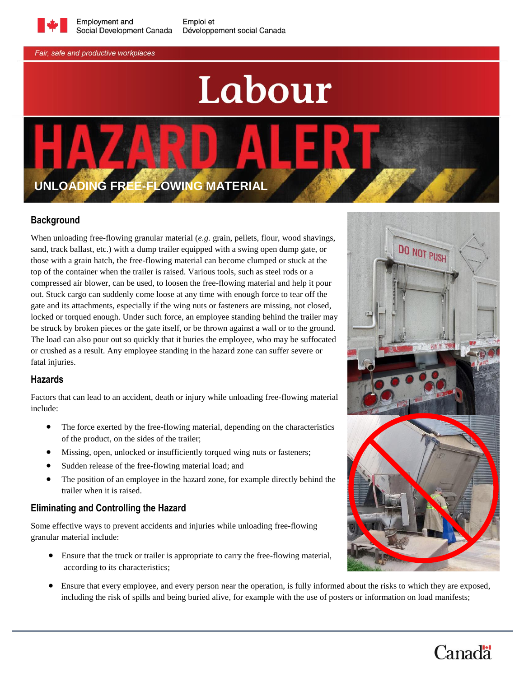

Emploi et Développement social Canada

Fair, safe and productive workplaces

# Labour

# **UNLOADING FREE-FLOWING MATERIAL**

# **Background**

When unloading free-flowing granular material (*e.g.* grain, pellets, flour, wood shavings, sand, track ballast, etc.) with a dump trailer equipped with a swing open dump gate, or those with a grain hatch, the free-flowing material can become clumped or stuck at the top of the container when the trailer is raised. Various tools, such as steel rods or a compressed air blower, can be used, to loosen the free-flowing material and help it pour out. Stuck cargo can suddenly come loose at any time with enough force to tear off the gate and its attachments, especially if the wing nuts or fasteners are missing, not closed, locked or torqued enough. Under such force, an employee standing behind the trailer may be struck by broken pieces or the gate itself, or be thrown against a wall or to the ground. The load can also pour out so quickly that it buries the employee, who may be suffocated or crushed as a result. Any employee standing in the hazard zone can suffer severe or fatal injuries.

#### **Hazards**

Factors that can lead to an accident, death or injury while unloading free-flowing material include:

- The force exerted by the free-flowing material, depending on the characteristics of the product, on the sides of the trailer;
- Missing, open, unlocked or insufficiently torqued wing nuts or fasteners;
- Sudden release of the free-flowing material load; and
- The position of an employee in the hazard zone, for example directly behind the trailer when it is raised.

# **Eliminating and Controlling the Hazard**

Some effective ways to prevent accidents and injuries while unloading free-flowing granular material include:

- Ensure that the truck or trailer is appropriate to carry the free-flowing material, according to its characteristics;
- Ensure that every employee, and every person near the operation, is fully informed about the risks to which they are exposed, including the risk of spills and being buried alive, for example with the use of posters or information on load manifests;